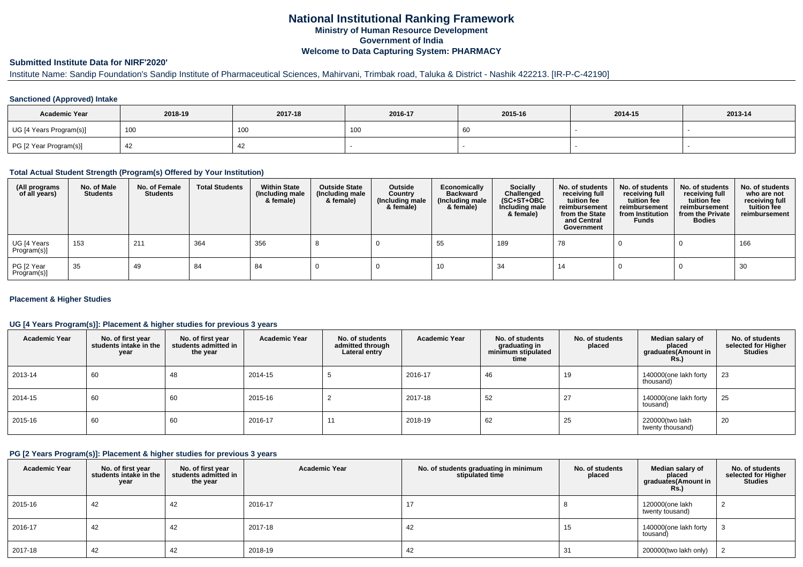# **National Institutional Ranking FrameworkMinistry of Human Resource DevelopmentGovernment of IndiaWelcome to Data Capturing System: PHARMACY**

# **Submitted Institute Data for NIRF'2020'**

# Institute Name: Sandip Foundation's Sandip Institute of Pharmaceutical Sciences, Mahirvani, Trimbak road, Taluka & District - Nashik 422213. [IR-P-C-42190]

### **Sanctioned (Approved) Intake**

| <b>Academic Year</b>    | 2018-19 | 2017-18 | 2016-17 | 2015-16 | 2014-15 | 2013-14 |
|-------------------------|---------|---------|---------|---------|---------|---------|
| UG [4 Years Program(s)] | 100     | 100     | , UU    | -60     |         |         |
| PG [2 Year Program(s)]  |         |         |         |         |         |         |

#### **Total Actual Student Strength (Program(s) Offered by Your Institution)**

| (All programs<br>of all years) | No. of Male<br><b>Students</b> | No. of Female<br><b>Students</b> | <b>Total Students</b> | <b>Within State</b><br>(Including male<br>& female) | <b>Outside State</b><br>(Including male<br>& female) | Outside<br>Country<br>(Including male<br>& female) | Economically<br><b>Backward</b><br>(Including male<br>& female) | <b>Socially</b><br>Challenged<br>$(SC+ST+OBC)$<br>Including male<br>& female) | No. of students<br>receiving full<br>tuition fee<br>reimbursement<br>from the State<br>and Central<br>Government | No. of students<br>receiving full<br>tuition fee<br>reimbursement<br>from Institution<br><b>Funds</b> | No. of students<br>receiving full<br>tuition fee<br>reimbursement<br>from the Private<br><b>Bodies</b> | No. of students<br>who are not<br>receiving full<br>tuition fee<br>reimbursement |
|--------------------------------|--------------------------------|----------------------------------|-----------------------|-----------------------------------------------------|------------------------------------------------------|----------------------------------------------------|-----------------------------------------------------------------|-------------------------------------------------------------------------------|------------------------------------------------------------------------------------------------------------------|-------------------------------------------------------------------------------------------------------|--------------------------------------------------------------------------------------------------------|----------------------------------------------------------------------------------|
| UG [4 Years<br>Program(s)]     | 153                            | 211                              | 364                   | 356                                                 |                                                      |                                                    | 55                                                              | 189                                                                           | 78                                                                                                               |                                                                                                       |                                                                                                        | 166                                                                              |
| PG [2 Year<br>Program(s)]      | 35                             | 49                               | 84                    | 84                                                  |                                                      |                                                    | 10                                                              | 34                                                                            | 14                                                                                                               |                                                                                                       |                                                                                                        | 30                                                                               |

### **Placement & Higher Studies**

### **UG [4 Years Program(s)]: Placement & higher studies for previous 3 years**

| <b>Academic Year</b> | No. of first year<br>students intake in the<br>year | No. of first year<br>students admitted in<br>the year | <b>Academic Year</b> | No. of students<br>admitted through<br>Lateral entry | <b>Academic Year</b> | No. of students<br>graduating in<br>minimum stipulated<br>time | No. of students<br>placed | Median salary of<br>placed<br>graduates(Amount in<br>Rs.) | No. of students<br>selected for Higher<br><b>Studies</b> |
|----------------------|-----------------------------------------------------|-------------------------------------------------------|----------------------|------------------------------------------------------|----------------------|----------------------------------------------------------------|---------------------------|-----------------------------------------------------------|----------------------------------------------------------|
| 2013-14              | 60                                                  | 48                                                    | 2014-15              |                                                      | 2016-17              | 46                                                             | 19                        | 140000(one lakh forty<br>thousand)                        | 23                                                       |
| 2014-15              | 60                                                  | 60                                                    | 2015-16              |                                                      | 2017-18              | 52                                                             | 27                        | 140000(one lakh forty<br>tousand)                         | 25                                                       |
| 2015-16              | 60                                                  | 60                                                    | 2016-17              | 11                                                   | 2018-19              | 62                                                             | 25                        | 220000(two lakh<br>twenty thousand)                       | 20                                                       |

#### **PG [2 Years Program(s)]: Placement & higher studies for previous 3 years**

| <b>Academic Year</b> | No. of first year<br>students intake in the<br>year | No. of first year<br>students admitted in<br>the year | <b>Academic Year</b> | No. of students graduating in minimum<br>stipulated time | No. of students<br>placed | Median salary of<br>placed<br>graduates(Amount in<br><b>Rs.)</b> | No. of students<br>selected for Higher<br><b>Studies</b> |
|----------------------|-----------------------------------------------------|-------------------------------------------------------|----------------------|----------------------------------------------------------|---------------------------|------------------------------------------------------------------|----------------------------------------------------------|
| 2015-16              | 42                                                  | 42                                                    | 2016-17              | 17                                                       |                           | 120000(one lakh<br>twenty tousand)                               |                                                          |
| 2016-17              | 42                                                  | 42                                                    | 2017-18              | 42                                                       | 15                        | 140000(one lakh forty<br>tousand)                                |                                                          |
| 2017-18              | 42                                                  | 42                                                    | 2018-19              | 42                                                       | 31                        | 200000(two lakh only)                                            |                                                          |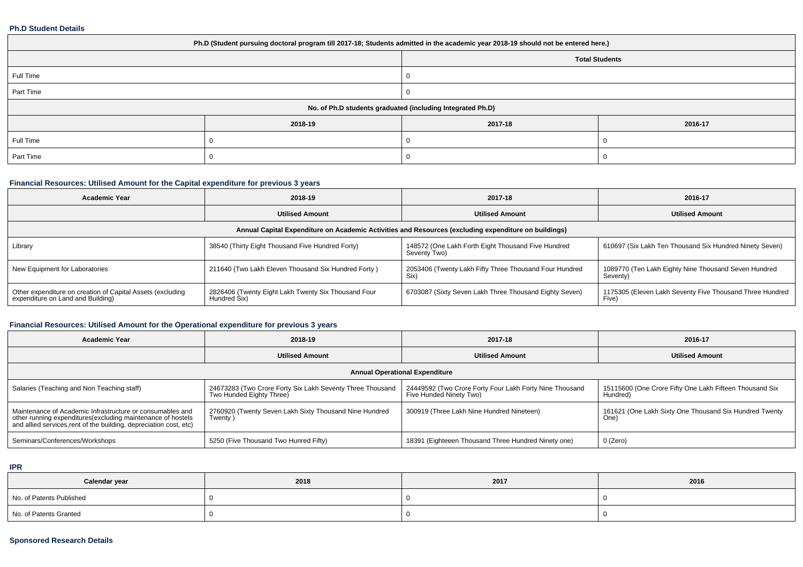#### **Ph.D Student Details**

| Ph.D (Student pursuing doctoral program till 2017-18; Students admitted in the academic year 2018-19 should not be entered here.) |         |                       |         |  |  |  |  |
|-----------------------------------------------------------------------------------------------------------------------------------|---------|-----------------------|---------|--|--|--|--|
|                                                                                                                                   |         | <b>Total Students</b> |         |  |  |  |  |
| Full Time                                                                                                                         |         |                       |         |  |  |  |  |
| Part Time                                                                                                                         |         |                       |         |  |  |  |  |
| No. of Ph.D students graduated (including Integrated Ph.D)                                                                        |         |                       |         |  |  |  |  |
|                                                                                                                                   | 2018-19 | 2017-18               | 2016-17 |  |  |  |  |
| Full Time                                                                                                                         |         |                       |         |  |  |  |  |
| Part Time                                                                                                                         |         |                       |         |  |  |  |  |

# **Financial Resources: Utilised Amount for the Capital expenditure for previous 3 years**

| <b>Academic Year</b>                                                                                 | 2018-19                                                             | 2017-18                                                            | 2016-17                                                           |  |  |  |  |  |  |
|------------------------------------------------------------------------------------------------------|---------------------------------------------------------------------|--------------------------------------------------------------------|-------------------------------------------------------------------|--|--|--|--|--|--|
|                                                                                                      | <b>Utilised Amount</b>                                              | <b>Utilised Amount</b>                                             | <b>Utilised Amount</b>                                            |  |  |  |  |  |  |
| Annual Capital Expenditure on Academic Activities and Resources (excluding expenditure on buildings) |                                                                     |                                                                    |                                                                   |  |  |  |  |  |  |
| Library                                                                                              | 38540 (Thirty Eight Thousand Five Hundred Forty)                    | 148572 (One Lakh Forth Eight Thousand Five Hundred<br>Seventy Two) | 610697 (Six Lakh Ten Thousand Six Hundred Ninety Seven)           |  |  |  |  |  |  |
| New Equipment for Laboratories                                                                       | 211640 (Two Lakh Eleven Thousand Six Hundred Forty)                 | 2053406 (Twenty Lakh Fifty Three Thousand Four Hundred<br>Six)     | 1089770 (Ten Lakh Eighty Nine Thousand Seven Hundred<br>Seventy)  |  |  |  |  |  |  |
| Other expenditure on creation of Capital Assets (excluding<br>expenditure on Land and Building)      | 2826406 (Twenty Eight Lakh Twenty Six Thousand Four<br>Hundred Six) | 6703087 (Sixty Seven Lakh Three Thousand Eighty Seven)             | 1175305 (Eleven Lakh Seventy Five Thousand Three Hundred<br>Five) |  |  |  |  |  |  |

### **Financial Resources: Utilised Amount for the Operational expenditure for previous 3 years**

| <b>Academic Year</b>                                                                                                                                                                            | 2018-19                                                                               | 2017-18                                                                            | 2016-17                                                             |  |  |  |  |  |
|-------------------------------------------------------------------------------------------------------------------------------------------------------------------------------------------------|---------------------------------------------------------------------------------------|------------------------------------------------------------------------------------|---------------------------------------------------------------------|--|--|--|--|--|
|                                                                                                                                                                                                 | <b>Utilised Amount</b>                                                                | <b>Utilised Amount</b>                                                             | <b>Utilised Amount</b>                                              |  |  |  |  |  |
| <b>Annual Operational Expenditure</b>                                                                                                                                                           |                                                                                       |                                                                                    |                                                                     |  |  |  |  |  |
| Salaries (Teaching and Non Teaching staff)                                                                                                                                                      | 24673283 (Two Crore Forty Six Lakh Seventy Three Thousand<br>Two Hunded Eighty Three) | 24449592 (Two Crore Forty Four Lakh Forty Nine Thousand<br>Five Hunded Ninety Two) | 15115600 (One Crore Fifty One Lakh Fifteen Thousand Six<br>Hundred) |  |  |  |  |  |
| Maintenance of Academic Infrastructure or consumables and<br>other running expenditures (excluding maintenance of hostels<br>and allied services, rent of the building, depreciation cost, etc) | 2760920 (Twenty Seven Lakh Sixty Thousand Nine Hundred<br>Twenty)                     | 300919 (Three Lakh Nine Hundred Nineteen)                                          | 161621 (One Lakh Sixty One Thousand Six Hundred Twenty<br>One)      |  |  |  |  |  |
| Seminars/Conferences/Workshops                                                                                                                                                                  | 5250 (Five Thousand Two Hunred Fifty)                                                 | 18391 (Eighteeen Thousand Three Hundred Ninety one)                                | 0 (Zero)                                                            |  |  |  |  |  |

**IPR**

| Calendar year            | 2018 | 2017 | 2016 |
|--------------------------|------|------|------|
| No. of Patents Published |      |      |      |
| No. of Patents Granted   |      |      |      |

## **Sponsored Research Details**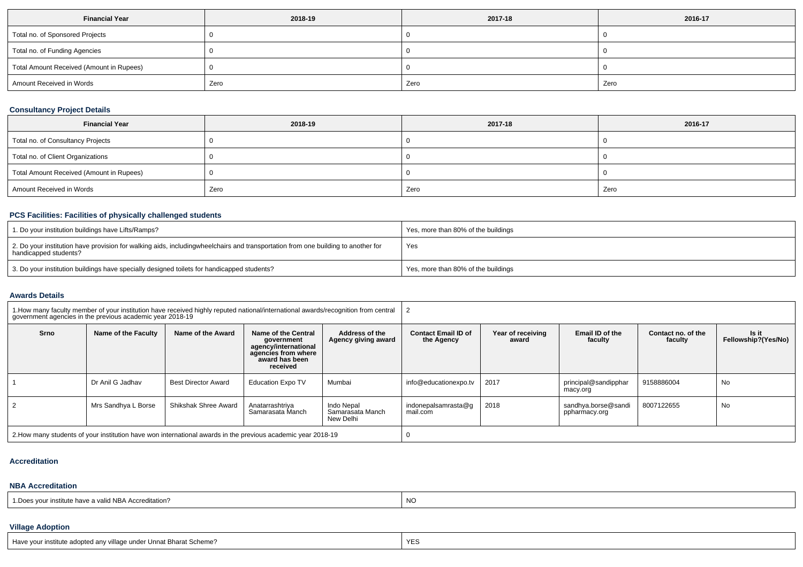| <b>Financial Year</b>                    | 2018-19 | 2017-18 | 2016-17 |
|------------------------------------------|---------|---------|---------|
| Total no. of Sponsored Projects          |         |         |         |
| Total no. of Funding Agencies            |         |         |         |
| Total Amount Received (Amount in Rupees) |         |         |         |
| Amount Received in Words                 | Zero    | Zero    | Zero    |

# **Consultancy Project Details**

| <b>Financial Year</b>                    | 2018-19 | 2017-18 | 2016-17 |
|------------------------------------------|---------|---------|---------|
| Total no. of Consultancy Projects        |         |         |         |
| Total no. of Client Organizations        |         |         |         |
| Total Amount Received (Amount in Rupees) |         |         |         |
| Amount Received in Words                 | Zero    | Zero    | Zero    |

### **PCS Facilities: Facilities of physically challenged students**

| 1. Do your institution buildings have Lifts/Ramps?                                                                                                        | Yes, more than 80% of the buildings |
|-----------------------------------------------------------------------------------------------------------------------------------------------------------|-------------------------------------|
| 2. Do your institution have provision for walking aids, includingwheelchairs and transportation from one building to another for<br>handicapped students? | Yes                                 |
| 3. Do your institution buildings have specially designed toilets for handicapped students?                                                                | Yes, more than 80% of the buildings |

#### **Awards Details**

| 1. How many faculty member of your institution have received highly reputed national/international awards/recognition from central<br>government agencies in the previous academic year 2018-19 |                     |                      |                                                                                                                |                                              |                                          |                            |                                      |                               |                              |
|-------------------------------------------------------------------------------------------------------------------------------------------------------------------------------------------------|---------------------|----------------------|----------------------------------------------------------------------------------------------------------------|----------------------------------------------|------------------------------------------|----------------------------|--------------------------------------|-------------------------------|------------------------------|
| Srno                                                                                                                                                                                            | Name of the Faculty | Name of the Award    | Name of the Central<br>government<br>agency/international<br>agencies from where<br>award has been<br>received | <b>Address of the</b><br>Agency giving award | <b>Contact Email ID of</b><br>the Agency | Year of receiving<br>award | Email ID of the<br>faculty           | Contact no. of the<br>faculty | Is it<br>Fellowship?(Yes/No) |
|                                                                                                                                                                                                 | Dr Anil G Jadhav    | Best Director Award  | <b>Education Expo TV</b>                                                                                       | Mumbai                                       | info@educationexpo.tv                    | 2017                       | principal@sandipphar<br>macy.org     | 9158886004                    | No                           |
|                                                                                                                                                                                                 | Mrs Sandhya L Borse | Shikshak Shree Award | Anatarrashtriya<br>Samarasata Manch                                                                            | Indo Nepal<br>Samarasata Manch<br>New Delhi  | indonepalsamrasta@q<br>mail.com          | 2018                       | sandhya.borse@sandi<br>ppharmacy.org | 8007122655                    | No                           |
| 2. How many students of your institution have won international awards in the previous academic year 2018-19                                                                                    |                     |                      |                                                                                                                |                                              |                                          |                            |                                      |                               |                              |

#### **Accreditation**

### **NBA Accreditation**

| 1. Does vour institute have a valid NBA Accreditation? | NO |
|--------------------------------------------------------|----|
|--------------------------------------------------------|----|

# **Village Adoption**

| Have your institute adopted any village under Unnat Bharat Scheme? | YH |
|--------------------------------------------------------------------|----|
|--------------------------------------------------------------------|----|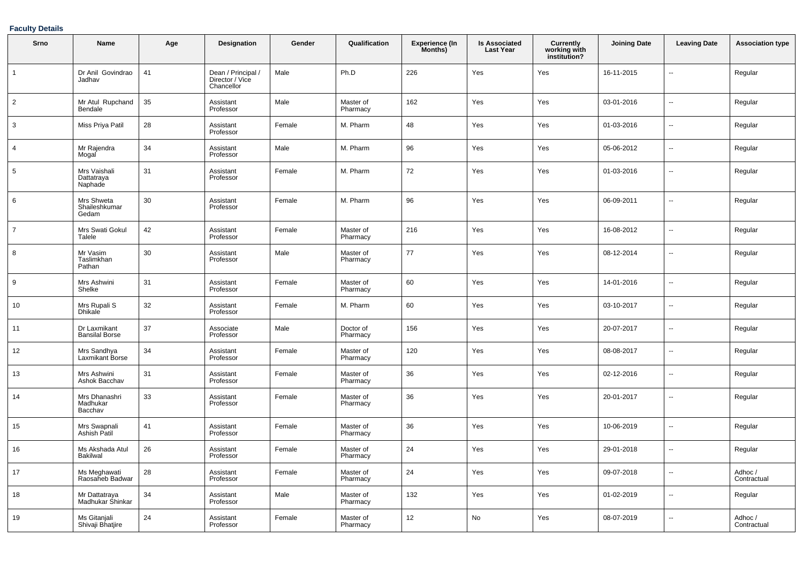## **Faculty Details**

| Srno           | Name                                  | Age | Designation                                         | Gender | Qualification         | <b>Experience (In</b><br>Months) | <b>Is Associated</b><br><b>Last Year</b> | <b>Currently<br/>working with<br/>institution?</b> | <b>Joining Date</b> | <b>Leaving Date</b>      | <b>Association type</b> |
|----------------|---------------------------------------|-----|-----------------------------------------------------|--------|-----------------------|----------------------------------|------------------------------------------|----------------------------------------------------|---------------------|--------------------------|-------------------------|
|                | Dr Anil Govindrao<br>Jadhav           | 41  | Dean / Principal /<br>Director / Vice<br>Chancellor | Male   | Ph.D                  | 226                              | Yes                                      | Yes                                                | 16-11-2015          | ä.                       | Regular                 |
| $\overline{2}$ | Mr Atul Rupchand<br>Bendale           | 35  | Assistant<br>Professor                              | Male   | Master of<br>Pharmacy | 162                              | Yes                                      | Yes                                                | 03-01-2016          | $\overline{a}$           | Regular                 |
| 3              | Miss Priya Patil                      | 28  | Assistant<br>Professor                              | Female | M. Pharm              | 48                               | Yes                                      | Yes                                                | 01-03-2016          | ÷.                       | Regular                 |
| 4              | Mr Rajendra<br>Mogal                  | 34  | Assistant<br>Professor                              | Male   | M. Pharm              | 96                               | Yes                                      | Yes                                                | 05-06-2012          | $\overline{a}$           | Regular                 |
| 5              | Mrs Vaishali<br>Dattatraya<br>Naphade | 31  | Assistant<br>Professor                              | Female | M. Pharm              | 72                               | Yes                                      | Yes                                                | 01-03-2016          | $\overline{\phantom{a}}$ | Regular                 |
| 6              | Mrs Shweta<br>Shaileshkumar<br>Gedam  | 30  | Assistant<br>Professor                              | Female | M. Pharm              | 96                               | Yes                                      | Yes                                                | 06-09-2011          | $\overline{a}$           | Regular                 |
| $\overline{7}$ | Mrs Swati Gokul<br>Talele             | 42  | Assistant<br>Professor                              | Female | Master of<br>Pharmacy | 216                              | Yes                                      | Yes                                                | 16-08-2012          | u.                       | Regular                 |
| 8              | Mr Vasim<br>Taslimkhan<br>Pathan      | 30  | Assistant<br>Professor                              | Male   | Master of<br>Pharmacy | 77                               | Yes                                      | Yes                                                | 08-12-2014          | ÷.                       | Regular                 |
| 9              | Mrs Ashwini<br>Shelke                 | 31  | Assistant<br>Professor                              | Female | Master of<br>Pharmacy | 60                               | Yes                                      | Yes                                                | 14-01-2016          | $\overline{\phantom{a}}$ | Regular                 |
| 10             | Mrs Rupali S<br><b>Dhikale</b>        | 32  | Assistant<br>Professor                              | Female | M. Pharm              | 60                               | Yes                                      | Yes                                                | 03-10-2017          | $\overline{\phantom{a}}$ | Regular                 |
| 11             | Dr Laxmikant<br><b>Bansilal Borse</b> | 37  | Associate<br>Professor                              | Male   | Doctor of<br>Pharmacy | 156                              | Yes                                      | Yes                                                | 20-07-2017          | $\overline{a}$           | Regular                 |
| 12             | Mrs Sandhya<br>Laxmikant Borse        | 34  | Assistant<br>Professor                              | Female | Master of<br>Pharmacy | 120                              | Yes                                      | Yes                                                | 08-08-2017          | ÷.                       | Regular                 |
| 13             | Mrs Ashwini<br>Ashok Bacchav          | 31  | Assistant<br>Professor                              | Female | Master of<br>Pharmacy | 36                               | Yes                                      | Yes                                                | 02-12-2016          | ä.                       | Regular                 |
| 14             | Mrs Dhanashri<br>Madhukar<br>Bacchav  | 33  | Assistant<br>Professor                              | Female | Master of<br>Pharmacy | 36                               | Yes                                      | Yes                                                | 20-01-2017          | ÷.                       | Regular                 |
| 15             | Mrs Swapnali<br>Ashish Patil          | 41  | Assistant<br>Professor                              | Female | Master of<br>Pharmacy | 36                               | Yes                                      | Yes                                                | 10-06-2019          | $\overline{\phantom{a}}$ | Regular                 |
| 16             | Ms Akshada Atul<br><b>Bakilwal</b>    | 26  | Assistant<br>Professor                              | Female | Master of<br>Pharmacy | 24                               | Yes                                      | Yes                                                | 29-01-2018          | ÷.                       | Regular                 |
| 17             | Ms Meghawati<br>Raosaheb Badwar       | 28  | Assistant<br>Professor                              | Female | Master of<br>Pharmacy | 24                               | Yes                                      | Yes                                                | 09-07-2018          | $\overline{a}$           | Adhoc /<br>Contractual  |
| 18             | Mr Dattatraya<br>Madhukar Shinkar     | 34  | Assistant<br>Professor                              | Male   | Master of<br>Pharmacy | 132                              | Yes                                      | Yes                                                | 01-02-2019          | $\overline{\phantom{a}}$ | Regular                 |
| 19             | Ms Gitanjali<br>Shivaji Bhatjire      | 24  | Assistant<br>Professor                              | Female | Master of<br>Pharmacy | 12                               | No                                       | Yes                                                | 08-07-2019          | ÷.                       | Adhoc /<br>Contractual  |